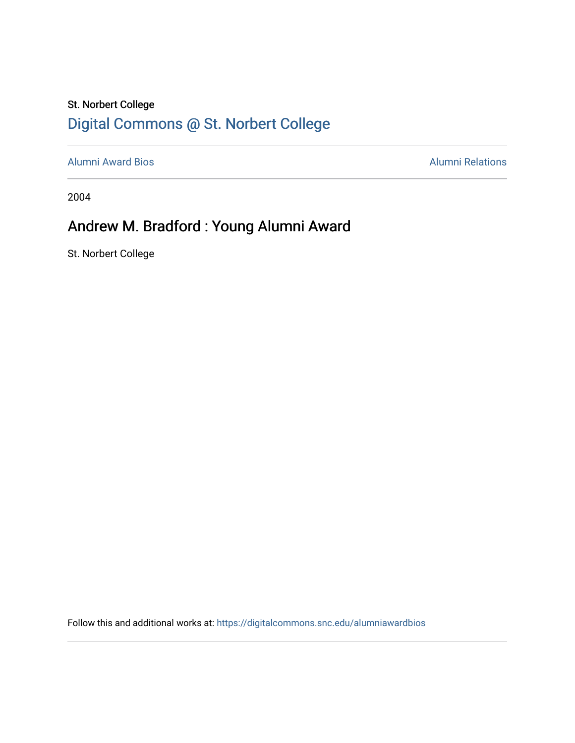## St. Norbert College [Digital Commons @ St. Norbert College](https://digitalcommons.snc.edu/)

[Alumni Award Bios](https://digitalcommons.snc.edu/alumniawardbios) **Alumni Relations** Alumni Relations

2004

## Andrew M. Bradford : Young Alumni Award

St. Norbert College

Follow this and additional works at: [https://digitalcommons.snc.edu/alumniawardbios](https://digitalcommons.snc.edu/alumniawardbios?utm_source=digitalcommons.snc.edu%2Falumniawardbios%2F4&utm_medium=PDF&utm_campaign=PDFCoverPages)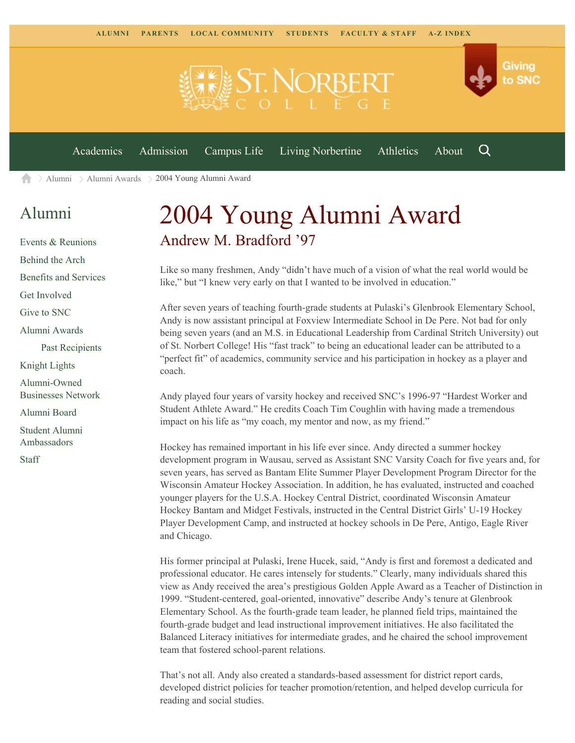

[Alumni](https://www.snc.edu/alumni/) [Alumni Awards](https://www.snc.edu/alumni/awards/) 2004 Young Alumni Award A

## [Alumni](https://www.snc.edu/alumni/index.html)

[Events & Reunions](https://www.snc.edu/alumni/event/index.html) [Behind the Arch](https://www.snc.edu/alumni/event/behindthearch/) [Benefits and Services](https://www.snc.edu/alumni/benefits.html) [Get Involved](https://www.snc.edu/alumni/getinvolved.html) [Give to SNC](http://giving.snc.edu/) [Alumni Awards](https://www.snc.edu/alumni/awards/index.html) [Past Recipients](https://www.snc.edu/alumni/awards/recipients.html) [Knight Lights](https://www.snc.edu/alumni/knightlights/index.html) [Alumni-Owned](https://www.snc.edu/alumni/directory/index.html) [Businesses Network](https://www.snc.edu/alumni/directory/index.html) [Alumni Board](https://www.snc.edu/alumni/alumniboard.html) [Student Alumni](https://www.snc.edu/alumni/saa.html) [Ambassadors](https://www.snc.edu/alumni/saa.html)

[Staff](https://www.snc.edu/alumni/contactus.html)

## 2004 Young Alumni Award Andrew M. Bradford '97

Like so many freshmen, Andy "didn't have much of a vision of what the real world would be like," but "I knew very early on that I wanted to be involved in education."

After seven years of teaching fourth-grade students at Pulaski's Glenbrook Elementary School, Andy is now assistant principal at Foxview Intermediate School in De Pere. Not bad for only being seven years (and an M.S. in Educational Leadership from Cardinal Stritch University) out of St. Norbert College! His "fast track" to being an educational leader can be attributed to a "perfect fit" of academics, community service and his participation in hockey as a player and coach.

Andy played four years of varsity hockey and received SNC's 1996-97 "Hardest Worker and Student Athlete Award." He credits Coach Tim Coughlin with having made a tremendous impact on his life as "my coach, my mentor and now, as my friend."

Hockey has remained important in his life ever since. Andy directed a summer hockey development program in Wausau, served as Assistant SNC Varsity Coach for five years and, for seven years, has served as Bantam Elite Summer Player Development Program Director for the Wisconsin Amateur Hockey Association. In addition, he has evaluated, instructed and coached younger players for the U.S.A. Hockey Central District, coordinated Wisconsin Amateur Hockey Bantam and Midget Festivals, instructed in the Central District Girls' U-19 Hockey Player Development Camp, and instructed at hockey schools in De Pere, Antigo, Eagle River and Chicago.

His former principal at Pulaski, Irene Hucek, said, "Andy is first and foremost a dedicated and professional educator. He cares intensely for students." Clearly, many individuals shared this view as Andy received the area's prestigious Golden Apple Award as a Teacher of Distinction in 1999. "Student-centered, goal-oriented, innovative" describe Andy's tenure at Glenbrook Elementary School. As the fourth-grade team leader, he planned field trips, maintained the fourth-grade budget and lead instructional improvement initiatives. He also facilitated the Balanced Literacy initiatives for intermediate grades, and he chaired the school improvement team that fostered school-parent relations.

That's not all. Andy also created a standards-based assessment for district report cards, developed district policies for teacher promotion/retention, and helped develop curricula for reading and social studies.